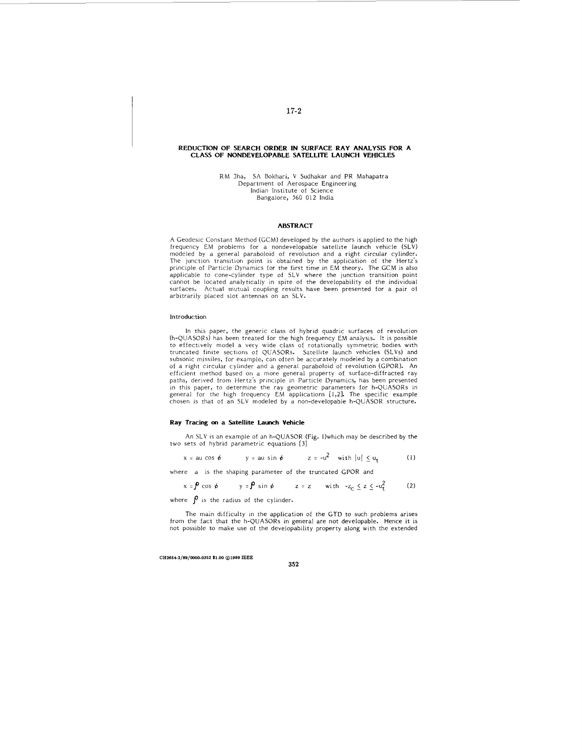### **REDUCTION OF SEARCH ORDER IN SURFACE RAY ANALYSIS FOR A CLASS OF NONDEVELOPABLE SATELLITE LAUNCH VEHICLES**

RM Jha, SA Bokhari, V Sudhakar and PR Mahapatra Department of Aerospace Engineering Indian Institute of Science Bangalore, 560 012 India

## **ABSTRACT**

A Geodesic Constant Method (GCM) developed by the authors is applied to the high frequency EM problems for a nondevelopable satellite launch vehicle (SLV) modeled by a general paraboloid of revolution and a right circular cylinder. The junction transition point is obtained by the application of the Hertz's principle of Particle Dynamics for the first time in EM theory. The GCM is also applicable to cone-cylinder type of SLV where the junction transition point cannot be located analytically in spite of the developability of the individual surfaces. Actual mutual coupling results have been presented for a pair of arbitrarily placed slot antennas on an SLV.

#### lntroduction

In this paper, the generic class of hybrid quadric surfaces of revolution (h-QUASORs) has been treated for the high frequency EM analysis. It is possible<br>to effectively model a very wide class of rotationally symmetric bodies with<br>truncated finite sections of QUASORs. Satellite launch vehicles subsonic missiles, for example, can often be accurately modeled by a combination of a right circular cylinder and a general paraboloid of revolution (GPOR). An<br>efficient method based on a more general property of surface-diffracted ray<br>paths, derived from Hertz's principle in Particle Dynamics, has bee in this paper, to determine the ray geometric parameters for h-QUASORs in general for the high frequency EM applications [1,2]. The specific example chosen is that of an SLV modeled by a non-developable h-QUASOR structure.

#### **Ray Tracing** *on* **a Satellite** Launch **Vehicle**

An SLV is an example of an h-QUASOR (Fig. I)which may be described by the two sets of hybrid parametric equations [31

$$
x = au \cos \phi
$$
  $y = au \sin \phi$   $z = -u^2 \sinh |u| \le u_t$  (1)

where a is the shaping parameter of the truncated GPOR and

$$
x = \int \cos \phi \qquad y = \int \sin \phi \qquad z = z \qquad \text{with} \quad -z_c \le z \le -u_t^2 \tag{2}
$$

where  $\beta$  is the radius of the cylinder.

The main difficulty in the application of the GTD to such problems arises from the fact that the h-QUASORs in general are not developable. Hence it is not possible to make use of the developability property along with the extended

**CH2064-2/80/OOOO-O362 S1.W 01989 IEEE** 

**352** 

# **17-2**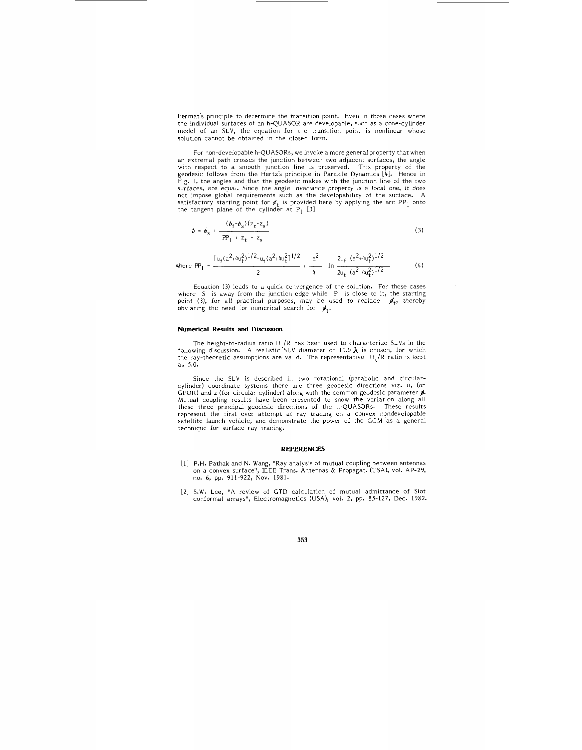Fermat's principle to determine the transition point. Even in those cases where the individual surfaces of an h-QUASOR are developable, such as a cone-cylinder model of an SLV, the equation for the transition point is nonlinear whose solution cannot be obtained in the closed form.

For non-developable h-QUASORs, we invoke a more general property that when an extrema1 path crosses the junction between two adjacent surfaces, the angle with respect to a smooth junction line is preserved. This property of the geodesic follows from the Hertz's principle in Particle Dynamics [4]. Hence in Fig. 1, the angles and that the geodesic makes with the junction line satisfactory starting point for  $\cancel{\phi}_t$  is provided here by applying the arc PP<sub>1</sub> onto the tangent plane of the cylinder at P<sub>1</sub> [3]

$$
\phi = \phi_{S} + \frac{(\phi_{f} - \phi_{S})(z_{t} - z_{S})}{PP_{1} + z_{t} - z_{S}}
$$
\n(3)

where 
$$
PP_1 = \frac{[u_f(a^2 + u_f)^{1/2} - u_f(a^2 + u_f^2)]^{1/2}}{2} + \frac{a^2}{4} + \frac{2u_f + (a^2 + u_f^2)^{1/2}}{2u_f + (a^2 + u_f^2)^{1/2}}
$$
 (4)

Equation (3) leads to a quick convergence of the solution. For those cases<br>where S is away from the junction edge while P is close to it, the starting<br>point (3), for all practical purposes, may be used to replace  $\mathcal{J}_t$ obviating the need for numerical search for  $\overline{\mathscr{G}}_{t}.$ 

### **Numerical Results and Discussion**

The height-to-radius ratio H<sub>t</sub>/R has been used to characterize SLVs in the following discussion. A realistic SLV diameter of 10.0  $\lambda$  is chosen, for which the ray-theoretic assumptions are valid. The representative  $H_t/R$  ratio is kept as 5.0.

Since the SLV is described in two rotational (parabolic and circularcylinder) coordinate systems there are three geodesic directions viz. U, (on GPOR) and z (for circular cylinder) along with the common geodesic parameter #. Mutual coupling results have been presented to show the variation along all these three principal geodesic directions of the h-QUASORs. These results<br>represent the first ever attempt at ray tracing on a convex nondevelopable<br>satellite launch vehicle, and demonstrate the power of the GCM as a gener technique for surface ray tracing.

#### **REFERENCES**

- [I] P.H. Pathak and N. Wang, "Ray analysis of mutual coupling between antennas on a convex surface", IEEE Trans. Antennas & Propagat. (USA), vol. AP-29, no. *6,* pp. 911-922, Nov. 1981.
- **[Z]** S.W. Lee, "A review of GTD calculation of mutual admittance of Slot conformal arrays", Electromagnetics (USA), vol. 2, pp. 85-127, Dec. 1982.

**353**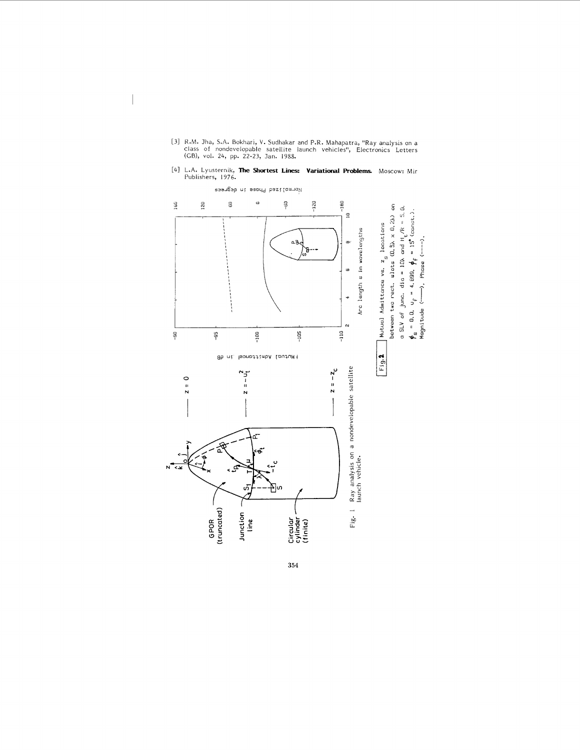

**354** 

[31 R.M. Jha, S.A. Bokhari, V. Sudhakar and P.R. Mahapatra, "Ray analysis on a class of nondevelopable satellite launch vehicles", Electronics Letters (CB), vol. 24, pp. 22-23, Jan. 1988.